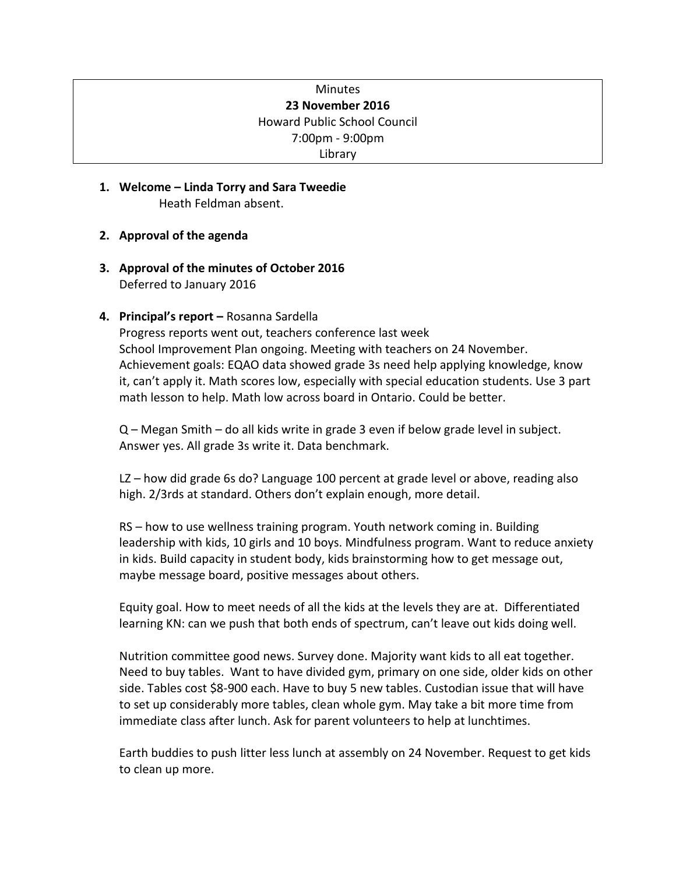## Minutes **23 November 2016** Howard Public School Council 7:00pm - 9:00pm Library

- **1. Welcome – Linda Torry and Sara Tweedie** Heath Feldman absent.
- **2. Approval of the agenda**
- **3. Approval of the minutes of October 2016** Deferred to January 2016
- **4. Principal's report –** Rosanna Sardella

Progress reports went out, teachers conference last week School Improvement Plan ongoing. Meeting with teachers on 24 November. Achievement goals: EQAO data showed grade 3s need help applying knowledge, know it, can't apply it. Math scores low, especially with special education students. Use 3 part math lesson to help. Math low across board in Ontario. Could be better.

Q – Megan Smith – do all kids write in grade 3 even if below grade level in subject. Answer yes. All grade 3s write it. Data benchmark.

LZ – how did grade 6s do? Language 100 percent at grade level or above, reading also high. 2/3rds at standard. Others don't explain enough, more detail.

RS – how to use wellness training program. Youth network coming in. Building leadership with kids, 10 girls and 10 boys. Mindfulness program. Want to reduce anxiety in kids. Build capacity in student body, kids brainstorming how to get message out, maybe message board, positive messages about others.

Equity goal. How to meet needs of all the kids at the levels they are at. Differentiated learning KN: can we push that both ends of spectrum, can't leave out kids doing well.

Nutrition committee good news. Survey done. Majority want kids to all eat together. Need to buy tables. Want to have divided gym, primary on one side, older kids on other side. Tables cost \$8-900 each. Have to buy 5 new tables. Custodian issue that will have to set up considerably more tables, clean whole gym. May take a bit more time from immediate class after lunch. Ask for parent volunteers to help at lunchtimes.

Earth buddies to push litter less lunch at assembly on 24 November. Request to get kids to clean up more.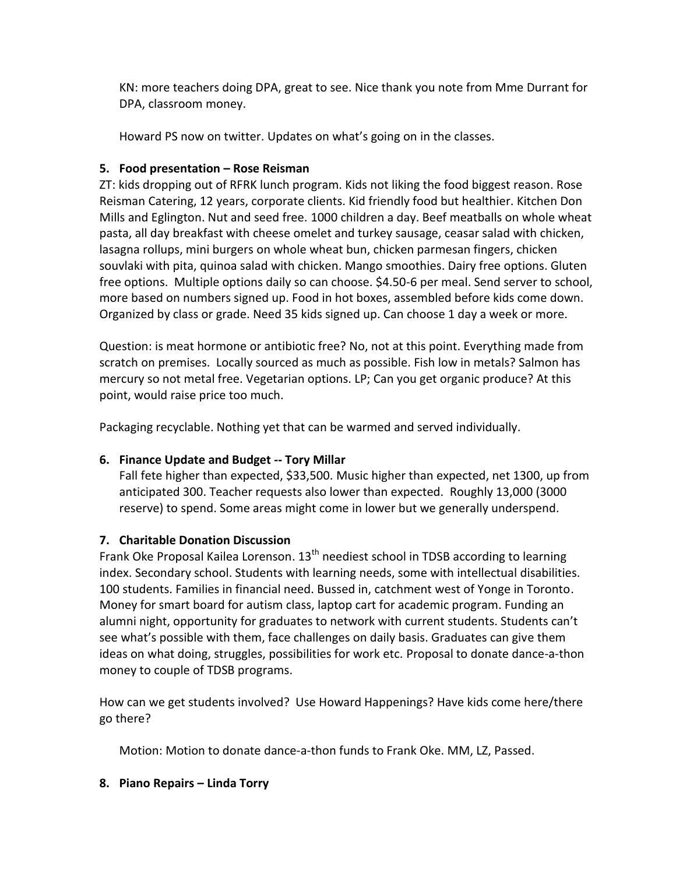KN: more teachers doing DPA, great to see. Nice thank you note from Mme Durrant for DPA, classroom money.

Howard PS now on twitter. Updates on what's going on in the classes.

## **5. Food presentation – Rose Reisman**

ZT: kids dropping out of RFRK lunch program. Kids not liking the food biggest reason. Rose Reisman Catering, 12 years, corporate clients. Kid friendly food but healthier. Kitchen Don Mills and Eglington. Nut and seed free. 1000 children a day. Beef meatballs on whole wheat pasta, all day breakfast with cheese omelet and turkey sausage, ceasar salad with chicken, lasagna rollups, mini burgers on whole wheat bun, chicken parmesan fingers, chicken souvlaki with pita, quinoa salad with chicken. Mango smoothies. Dairy free options. Gluten free options. Multiple options daily so can choose. \$4.50-6 per meal. Send server to school, more based on numbers signed up. Food in hot boxes, assembled before kids come down. Organized by class or grade. Need 35 kids signed up. Can choose 1 day a week or more.

Question: is meat hormone or antibiotic free? No, not at this point. Everything made from scratch on premises. Locally sourced as much as possible. Fish low in metals? Salmon has mercury so not metal free. Vegetarian options. LP; Can you get organic produce? At this point, would raise price too much.

Packaging recyclable. Nothing yet that can be warmed and served individually.

# **6. Finance Update and Budget -- Tory Millar**

Fall fete higher than expected, \$33,500. Music higher than expected, net 1300, up from anticipated 300. Teacher requests also lower than expected. Roughly 13,000 (3000 reserve) to spend. Some areas might come in lower but we generally underspend.

# **7. Charitable Donation Discussion**

Frank Oke Proposal Kailea Lorenson.  $13<sup>th</sup>$  neediest school in TDSB according to learning index. Secondary school. Students with learning needs, some with intellectual disabilities. 100 students. Families in financial need. Bussed in, catchment west of Yonge in Toronto. Money for smart board for autism class, laptop cart for academic program. Funding an alumni night, opportunity for graduates to network with current students. Students can't see what's possible with them, face challenges on daily basis. Graduates can give them ideas on what doing, struggles, possibilities for work etc. Proposal to donate dance-a-thon money to couple of TDSB programs.

How can we get students involved? Use Howard Happenings? Have kids come here/there go there?

Motion: Motion to donate dance-a-thon funds to Frank Oke. MM, LZ, Passed.

### **8. Piano Repairs – Linda Torry**